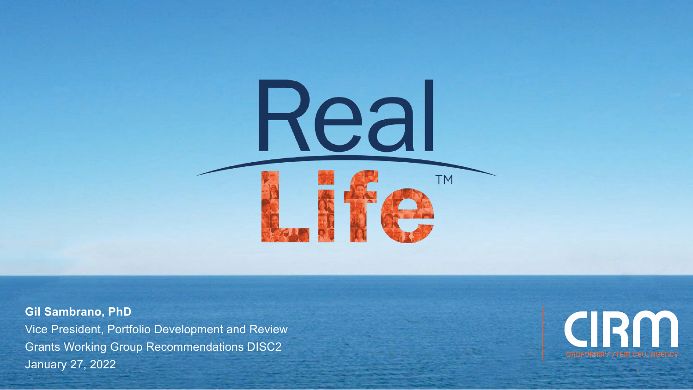

**Gil Sambrano, PhD** Vice President, Portfolio Development and Review Grants Working Group Recommendations DISC2 January 27, 2022



1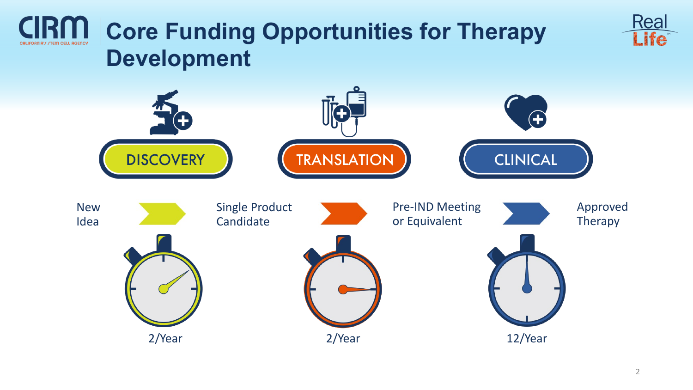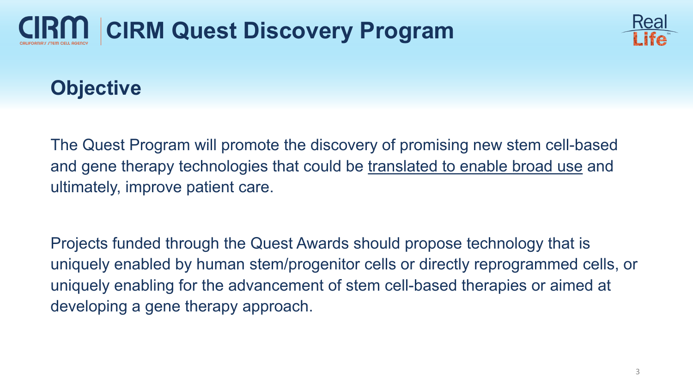



### **Objective**

The Quest Program will promote the discovery of promising new stem cell-based and gene therapy technologies that could be translated to enable broad use and ultimately, improve patient care.

Projects funded through the Quest Awards should propose technology that is uniquely enabled by human stem/progenitor cells or directly reprogrammed cells, or uniquely enabling for the advancement of stem cell-based therapies or aimed at developing a gene therapy approach.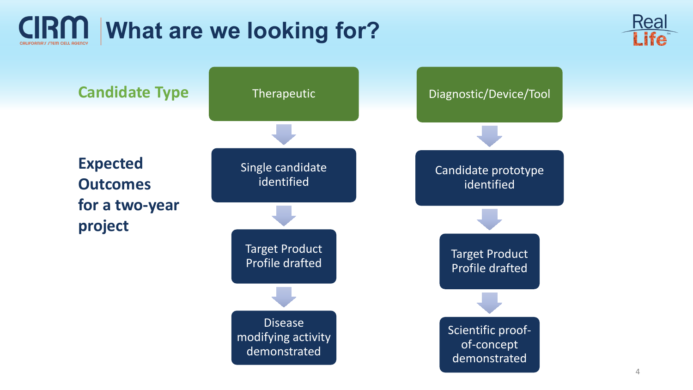



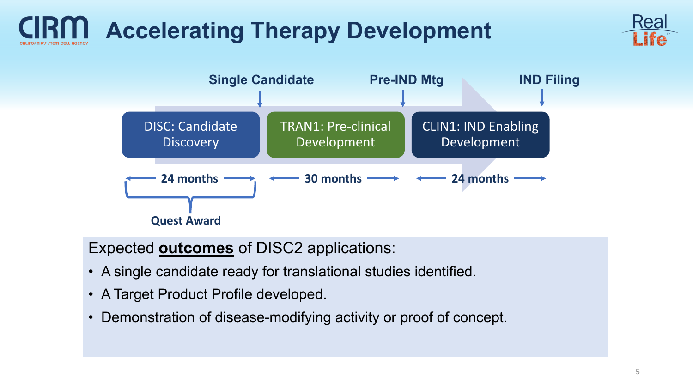# **Accelerating Therapy Development**





Expected **outcomes** of DISC2 applications:

- A single candidate ready for translational studies identified.
- A Target Product Profile developed.
- Demonstration of disease-modifying activity or proof of concept.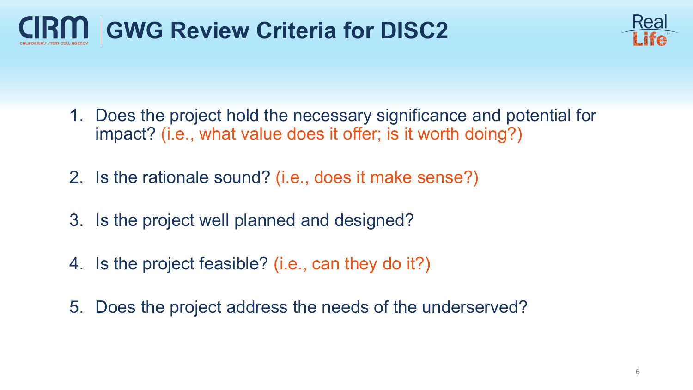



- 1. Does the project hold the necessary significance and potential for impact? (i.e., what value does it offer; is it worth doing?)
- 2. Is the rationale sound? (i.e., does it make sense?)
- 3. Is the project well planned and designed?
- 4. Is the project feasible? (i.e., can they do it?)
- 5. Does the project address the needs of the underserved?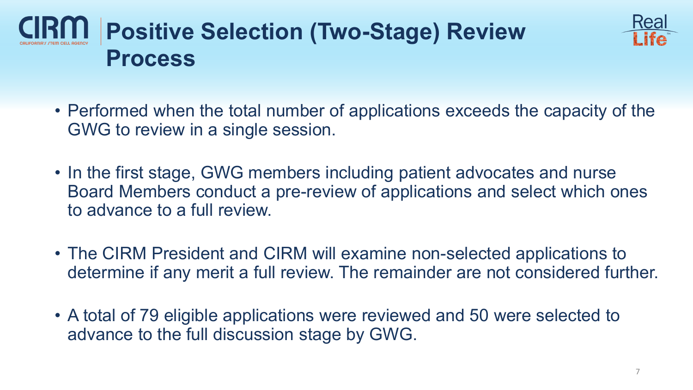



- Performed when the total number of applications exceeds the capacity of the GWG to review in a single session.
- In the first stage, GWG members including patient advocates and nurse Board Members conduct a pre-review of applications and select which ones to advance to a full review.
- The CIRM President and CIRM will examine non-selected applications to determine if any merit a full review. The remainder are not considered further.
- A total of 79 eligible applications were reviewed and 50 were selected to advance to the full discussion stage by GWG.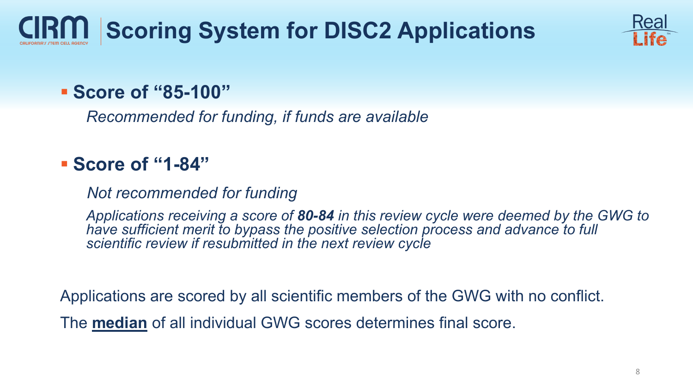# **Scoring System for DISC2 Applications**



#### **Score of "85-100"**

*Recommended for funding, if funds are available*

#### **Score of "1-84"**

*Not recommended for funding*

*Applications receiving a score of 80-84 in this review cycle were deemed by the GWG to have sufficient merit to bypass the positive selection process and advance to full scientific review if resubmitted in the next review cycle*

Applications are scored by all scientific members of the GWG with no conflict.

The **median** of all individual GWG scores determines final score.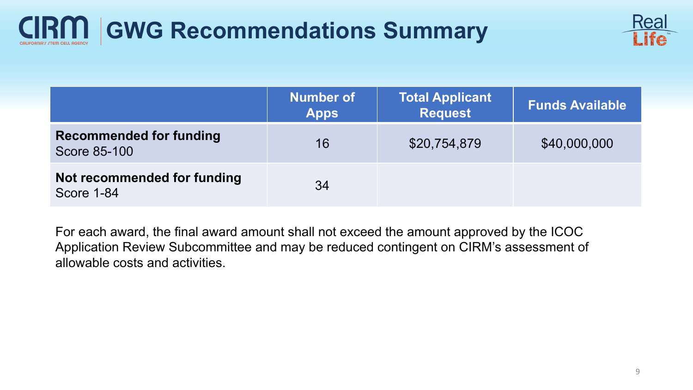## **GWG Recommendations Summary**



|                                                       | <b>Number of</b><br><b>Apps</b> | <b>Total Applicant</b><br><b>Request</b> | <b>Funds Available</b> |
|-------------------------------------------------------|---------------------------------|------------------------------------------|------------------------|
| <b>Recommended for funding</b><br><b>Score 85-100</b> | 16                              | \$20,754,879                             | \$40,000,000           |
| Not recommended for funding<br>Score 1-84             | 34                              |                                          |                        |

For each award, the final award amount shall not exceed the amount approved by the ICOC Application Review Subcommittee and may be reduced contingent on CIRM's assessment of allowable costs and activities.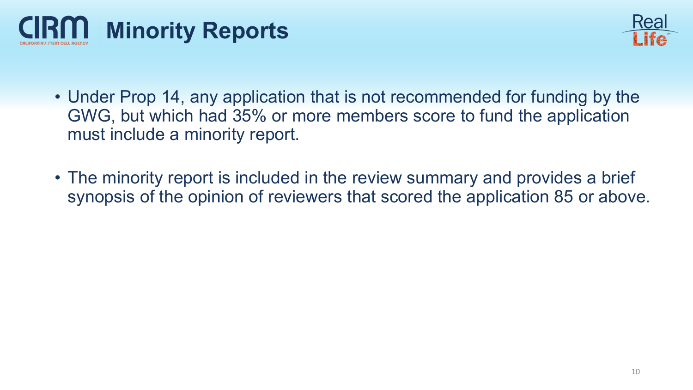



- Under Prop 14, any application that is not recommended for funding by the GWG, but which had 35% or more members score to fund the application must include a minority report.
- The minority report is included in the review summary and provides a brief synopsis of the opinion of reviewers that scored the application 85 or above.